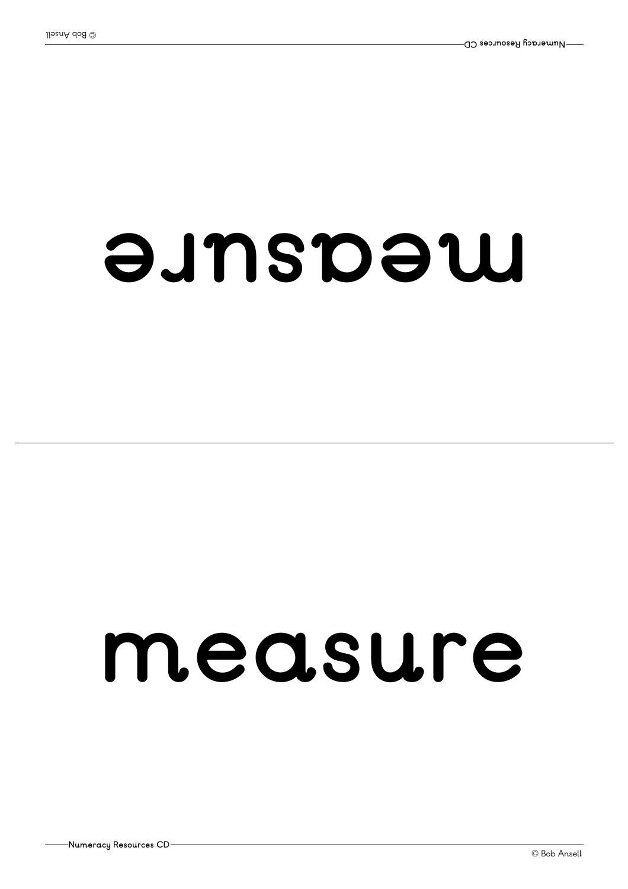#### $\theta$ *unspew*

#### **measure**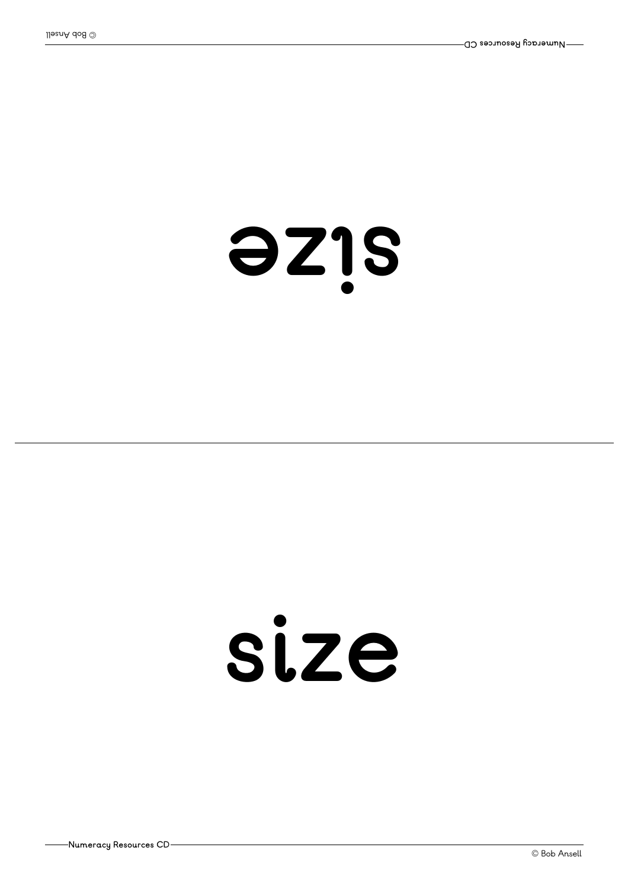**Numeracy Resources CD**

#### **ezi s**

#### **size**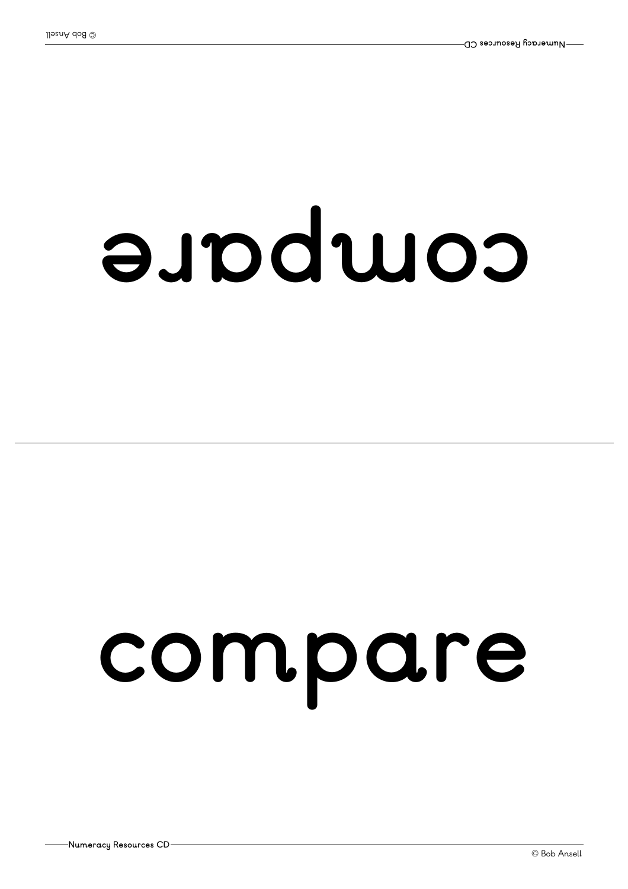#### euwddLe

### **compare**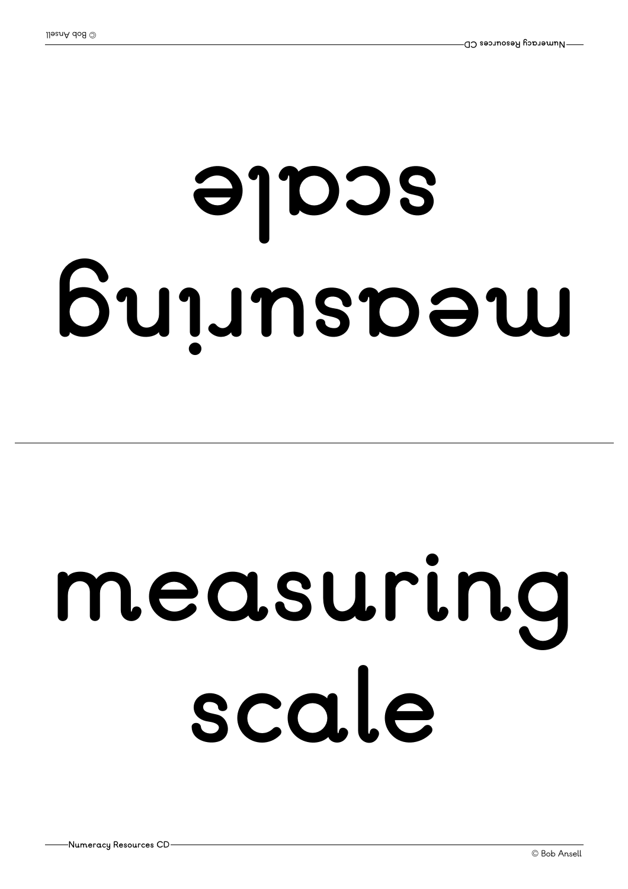### $G$  unspow **el acs**

### **measuring scale**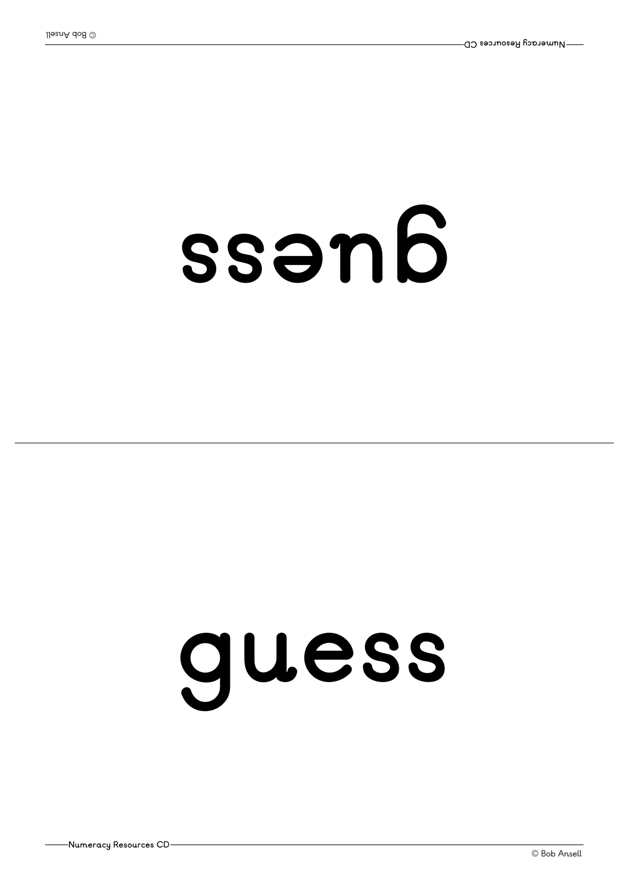### ssen6

### **guess**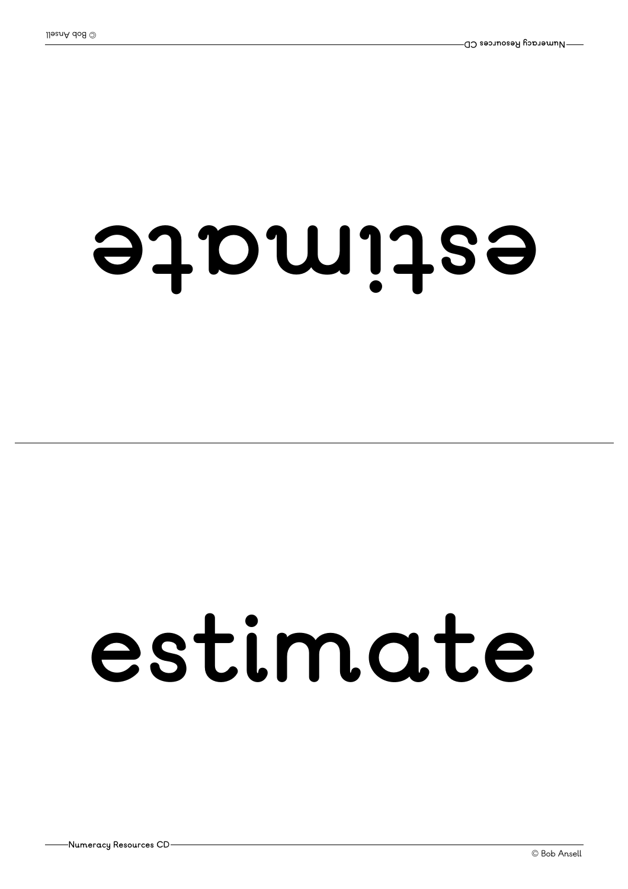#### **et a mi tse**

#### **estimate**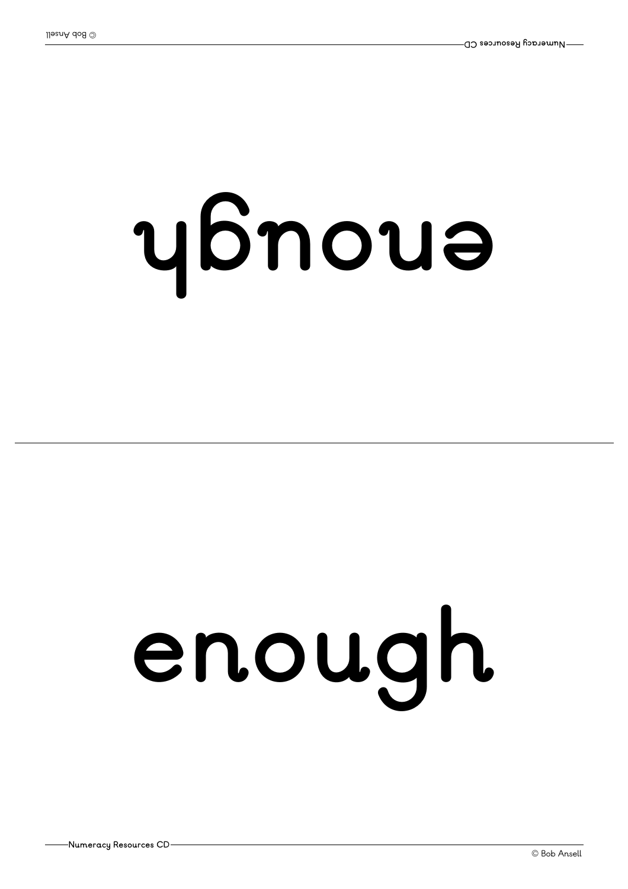# **<sup>h</sup>guone**

# **enough**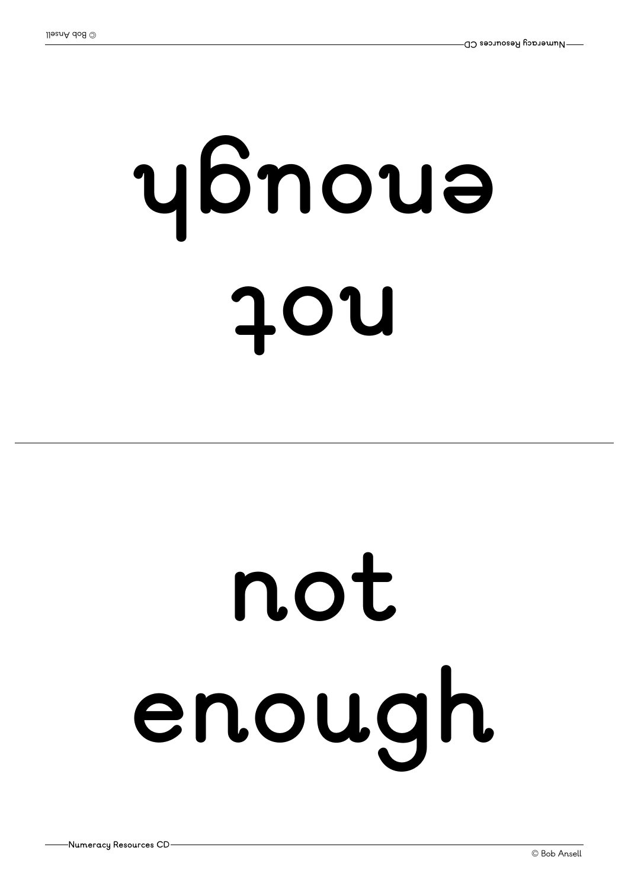# **ton <sup>h</sup>guone**

# **not enough**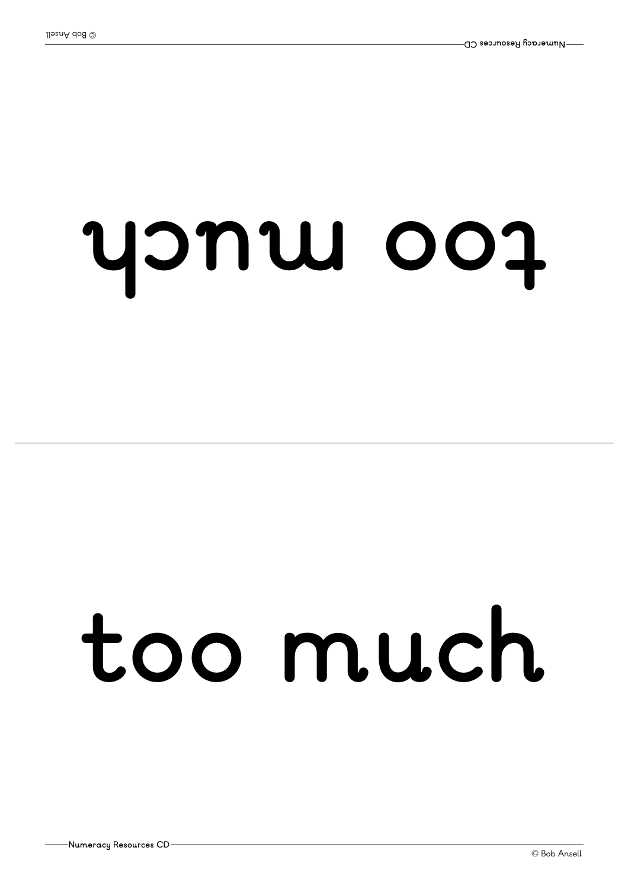### **hcu moot**

### **too much**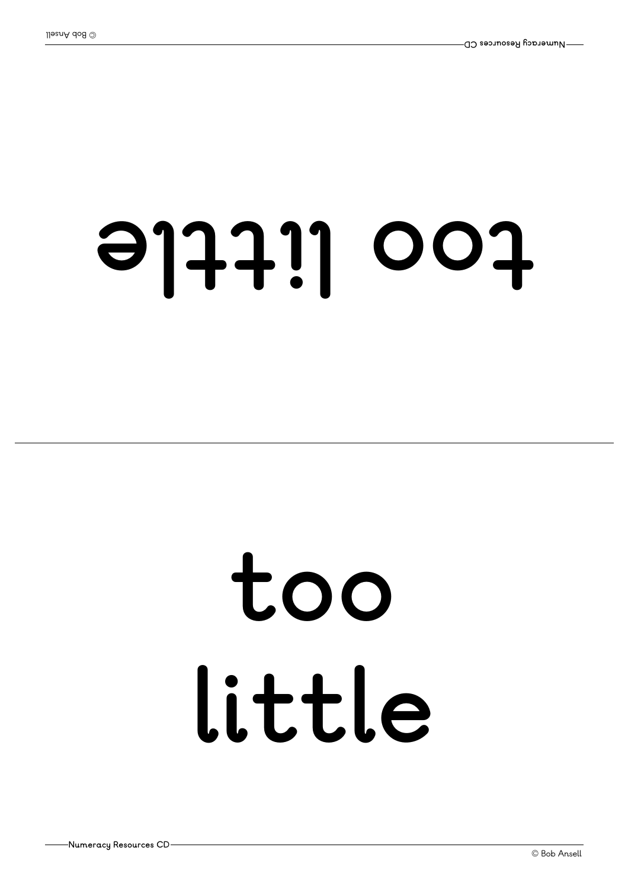#### **el ttil oot**

### **too little**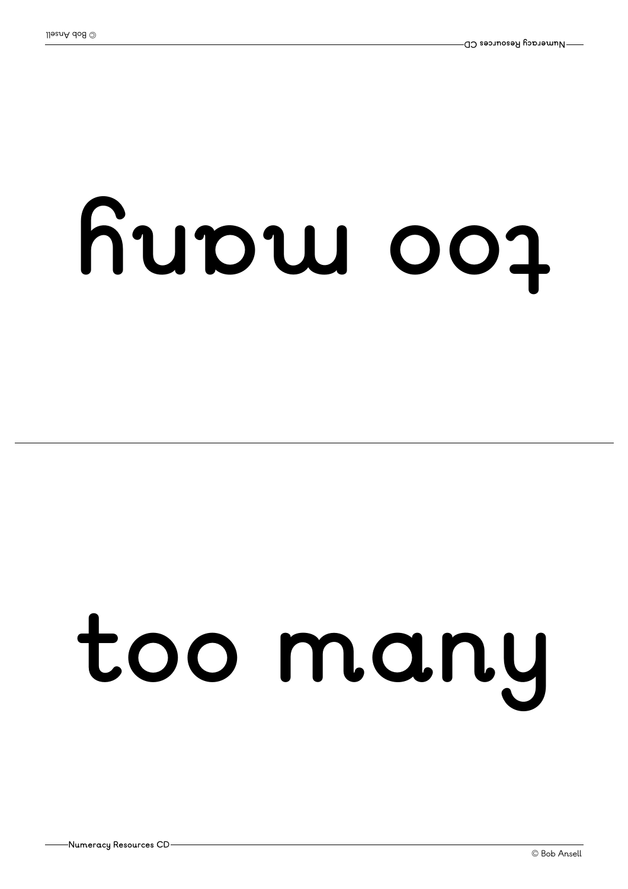# **yna moot**

## **too many**

**Numeracy Resources CD**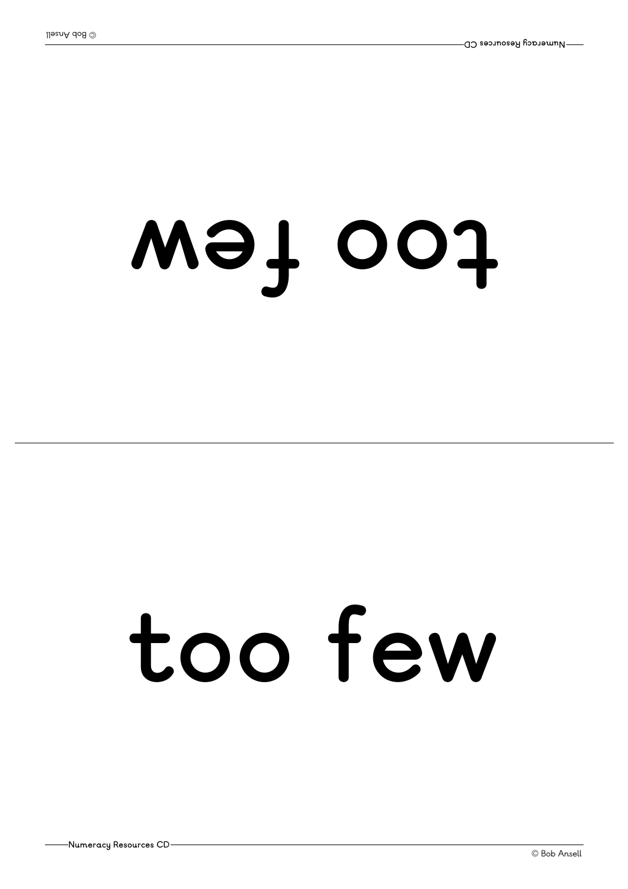### **wef oot**

### **too few**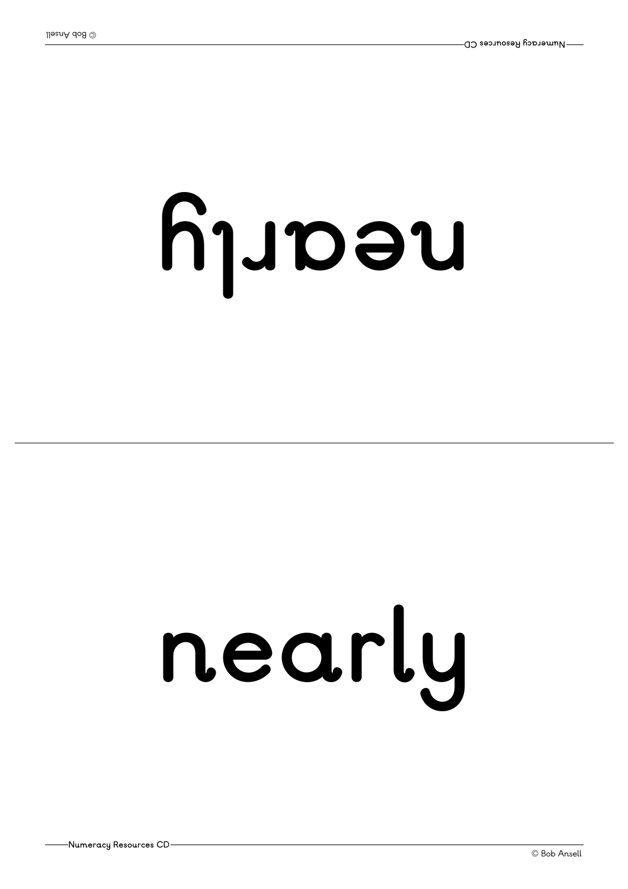# **yl <sup>r</sup> aen**

# **nearly**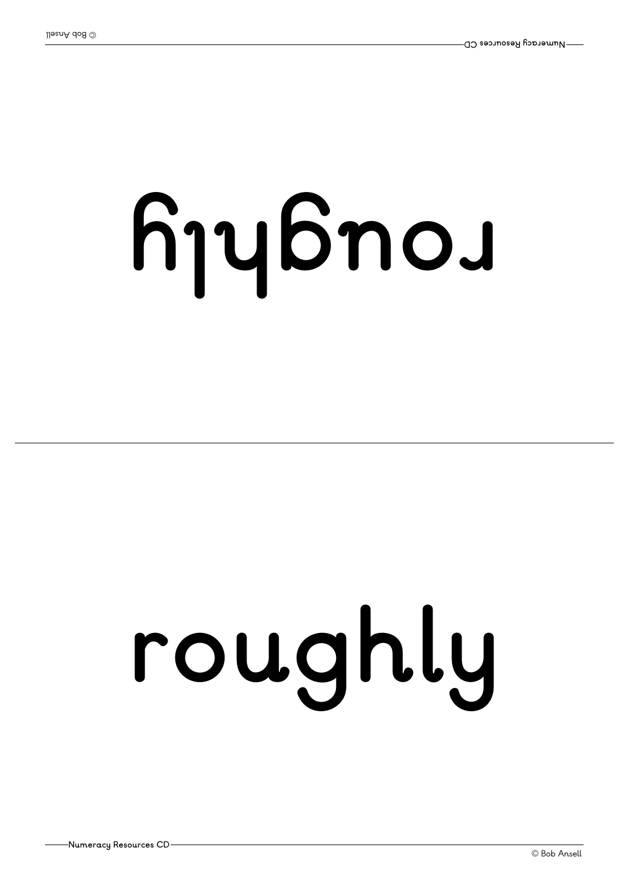# **yl <sup>h</sup>guor**

# **roughly**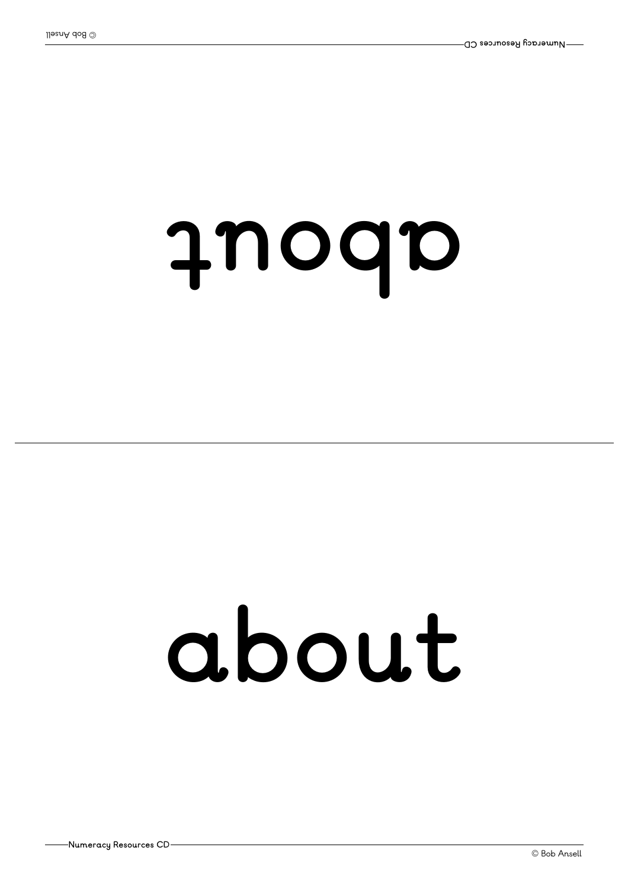#### **tuoba**

### **about**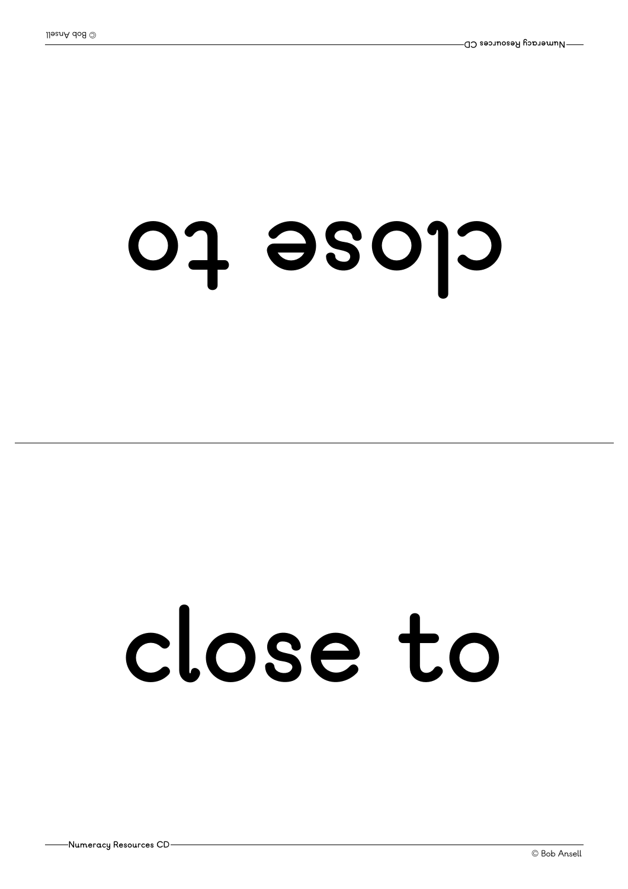#### **ot esol <sup>c</sup>**

### **close to**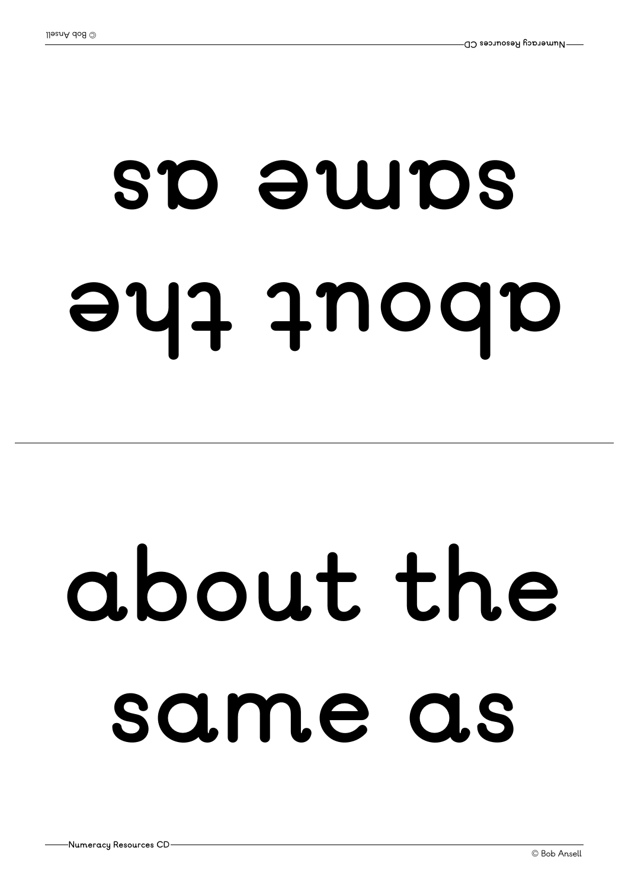## **eht tuoba s a e mas**

## **about the same as**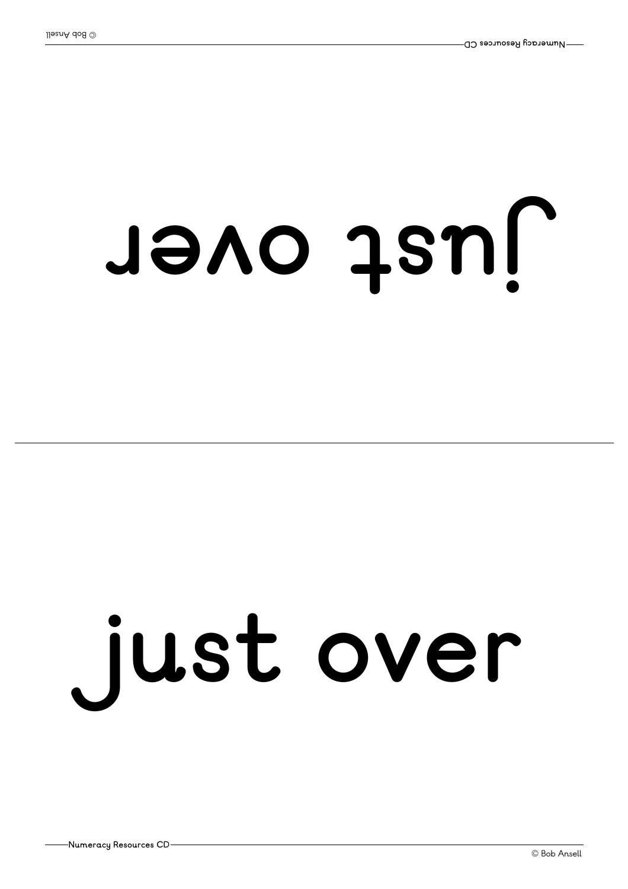## **<sup>r</sup> evo ts uj**

# **just over**